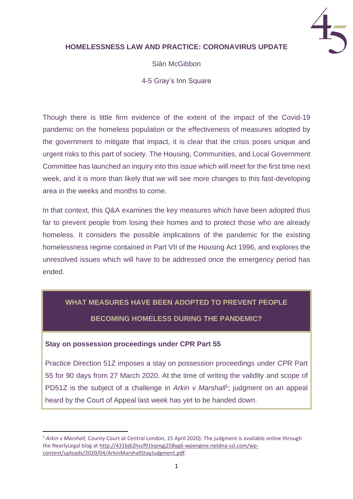

### **HOMELESSNESS LAW AND PRACTICE: CORONAVIRUS UPDATE**

Siân McGibbon

4-5 Gray's Inn Square

Though there is little firm evidence of the extent of the impact of the Covid-19 pandemic on the homeless population or the effectiveness of measures adopted by the government to mitigate that impact, it is clear that the crisis poses unique and urgent risks to this part of society. The Housing, Communities, and Local Government Committee has launched an inquiry into this issue which will meet for the first time next week, and it is more than likely that we will see more changes to this fast-developing area in the weeks and months to come.

In that context, this Q&A examines the key measures which have been adopted thus far to prevent people from losing their homes and to protect those who are already homeless. It considers the possible implications of the pandemic for the existing homelessness regime contained in Part VII of the Housing Act 1996, and explores the unresolved issues which will have to be addressed once the emergency period has ended.

# **WHAT MEASURES HAVE BEEN ADOPTED TO PREVENT PEOPLE BECOMING HOMELESS DURING THE PANDEMIC?**

### **Stay on possession proceedings under CPR Part 55**

Practice Direction 51Z imposes a stay on possession proceedings under CPR Part 55 for 90 days from 27 March 2020. At the time of writing the validity and scope of PD51Z is the subject of a challenge in Arkin v Marshall<sup>1</sup>; judgment on an appeal heard by the Court of Appeal last week has yet to be handed down.

<sup>1</sup> *Arkin v Marshall,* County Court at Central London, 15 April 2020). The judgment is available online through the NearlyLegal blog at [http://431bj62hscf91kqmgj258yg6-wpengine.netdna-ssl.com/wp](http://431bj62hscf91kqmgj258yg6-wpengine.netdna-ssl.com/wp-content/uploads/2020/04/ArkinMarshallStayJudgment.pdf)[content/uploads/2020/04/ArkinMarshallStayJudgment.pdf.](http://431bj62hscf91kqmgj258yg6-wpengine.netdna-ssl.com/wp-content/uploads/2020/04/ArkinMarshallStayJudgment.pdf)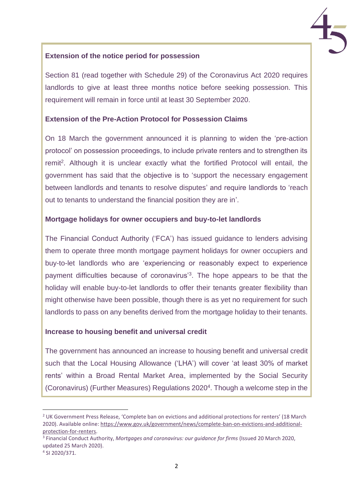

### **Extension of the notice period for possession**

Section 81 (read together with Schedule 29) of the Coronavirus Act 2020 requires landlords to give at least three months notice before seeking possession. This requirement will remain in force until at least 30 September 2020.

### **Extension of the Pre-Action Protocol for Possession Claims**

On 18 March the government announced it is planning to widen the 'pre-action protocol' on possession proceedings, to include private renters and to strengthen its remit<sup>2</sup>. Although it is unclear exactly what the fortified Protocol will entail, the government has said that the objective is to 'support the necessary engagement between landlords and tenants to resolve disputes' and require landlords to 'reach out to tenants to understand the financial position they are in'.

### **Mortgage holidays for owner occupiers and buy-to-let landlords**

The Financial Conduct Authority ('FCA') has issued guidance to lenders advising them to operate three month mortgage payment holidays for owner occupiers and buy-to-let landlords who are 'experiencing or reasonably expect to experience payment difficulties because of coronavirus<sup>'3</sup>. The hope appears to be that the holiday will enable buy-to-let landlords to offer their tenants greater flexibility than might otherwise have been possible, though there is as yet no requirement for such landlords to pass on any benefits derived from the mortgage holiday to their tenants.

#### **Increase to housing benefit and universal credit**

The government has announced an increase to housing benefit and universal credit such that the Local Housing Allowance ('LHA') will cover 'at least 30% of market rents' within a Broad Rental Market Area, implemented by the Social Security (Coronavirus) (Further Measures) Regulations 2020<sup>4</sup> . Though a welcome step in the

<sup>&</sup>lt;sup>2</sup> UK Government Press Release, 'Complete ban on evictions and additional protections for renters' (18 March 2020). Available online[: https://www.gov.uk/government/news/complete-ban-on-evictions-and-additional](https://www.gov.uk/government/news/complete-ban-on-evictions-and-additional-protection-for-renters)[protection-for-renters.](https://www.gov.uk/government/news/complete-ban-on-evictions-and-additional-protection-for-renters)

<sup>3</sup> Financial Conduct Authority, *Mortgages and coronavirus: our guidance for firms* (Issued 20 March 2020, updated 25 March 2020).

<sup>4</sup> SI 2020/371.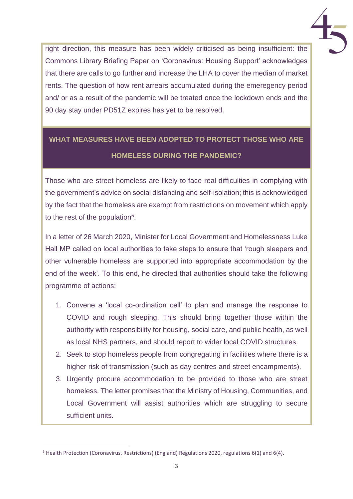right direction, this measure has been widely criticised as being insufficient: the Commons Library Briefing Paper on 'Coronavirus: Housing Support' acknowledges that there are calls to go further and increase the LHA to cover the median of market rents. The question of how rent arrears accumulated during the emeregency period and/ or as a result of the pandemic will be treated once the lockdown ends and the 90 day stay under PD51Z expires has yet to be resolved.

# **WHAT MEASURES HAVE BEEN ADOPTED TO PROTECT THOSE WHO ARE HOMELESS DURING THE PANDEMIC?**

Those who are street homeless are likely to face real difficulties in complying with the government's advice on social distancing and self-isolation; this is acknowledged by the fact that the homeless are exempt from restrictions on movement which apply to the rest of the population<sup>5</sup>.

In a letter of 26 March 2020, Minister for Local Government and Homelessness Luke Hall MP called on local authorities to take steps to ensure that 'rough sleepers and other vulnerable homeless are supported into appropriate accommodation by the end of the week'. To this end, he directed that authorities should take the following programme of actions:

- 1. Convene a 'local co-ordination cell' to plan and manage the response to COVID and rough sleeping. This should bring together those within the authority with responsibility for housing, social care, and public health, as well as local NHS partners, and should report to wider local COVID structures.
- 2. Seek to stop homeless people from congregating in facilities where there is a higher risk of transmission (such as day centres and street encampments).
- 3. Urgently procure accommodation to be provided to those who are street homeless. The letter promises that the Ministry of Housing, Communities, and Local Government will assist authorities which are struggling to secure sufficient units.

<sup>5</sup> Health Protection (Coronavirus, Restrictions) (England) Regulations 2020, regulations 6(1) and 6(4).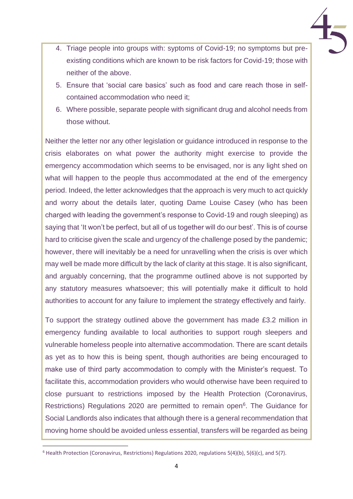- 4. Triage people into groups with: syptoms of Covid-19; no symptoms but preexisting conditions which are known to be risk factors for Covid-19; those with neither of the above.
- 5. Ensure that 'social care basics' such as food and care reach those in selfcontained accommodation who need it;
- 6. Where possible, separate people with significant drug and alcohol needs from those without.

Neither the letter nor any other legislation or guidance introduced in response to the crisis elaborates on what power the authority might exercise to provide the emergency accommodation which seems to be envisaged, nor is any light shed on what will happen to the people thus accommodated at the end of the emergency period. Indeed, the letter acknowledges that the approach is very much to act quickly and worry about the details later, quoting Dame Louise Casey (who has been charged with leading the government's response to Covid-19 and rough sleeping) as saying that 'It won't be perfect, but all of us together will do our best'. This is of course hard to criticise given the scale and urgency of the challenge posed by the pandemic; however, there will inevitably be a need for unravelling when the crisis is over which may well be made more difficult by the lack of clarity at this stage. It is also significant, and arguably concerning, that the programme outlined above is not supported by any statutory measures whatsoever; this will potentially make it difficult to hold authorities to account for any failure to implement the strategy effectively and fairly.

To support the strategy outlined above the government has made £3.2 million in emergency funding available to local authorities to support rough sleepers and vulnerable homeless people into alternative accommodation. There are scant details as yet as to how this is being spent, though authorities are being encouraged to make use of third party accommodation to comply with the Minister's request. To facilitate this, accommodation providers who would otherwise have been required to close pursuant to restrictions imposed by the Health Protection (Coronavirus, Restrictions) Regulations 2020 are permitted to remain open<sup>6</sup>. The Guidance for Social Landlords also indicates that although there is a general recommendation that moving home should be avoided unless essential, transfers will be regarded as being

<sup>6</sup> Health Protection (Coronavirus, Restrictions) Regulations 2020, regulations 5(4)(b), 5(6)(c), and 5(7).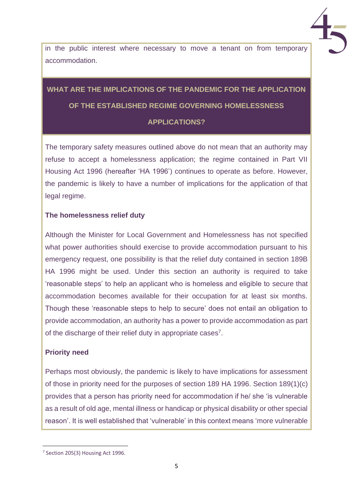in the public interest where necessary to move a tenant on from temporary accommodation.

# **WHAT ARE THE IMPLICATIONS OF THE PANDEMIC FOR THE APPLICATION OF THE ESTABLISHED REGIME GOVERNING HOMELESSNESS APPLICATIONS?**

The temporary safety measures outlined above do not mean that an authority may refuse to accept a homelessness application; the regime contained in Part VII Housing Act 1996 (hereafter 'HA 1996') continues to operate as before. However, the pandemic is likely to have a number of implications for the application of that legal regime.

### **The homelessness relief duty**

Although the Minister for Local Government and Homelessness has not specified what power authorities should exercise to provide accommodation pursuant to his emergency request, one possibility is that the relief duty contained in section 189B HA 1996 might be used. Under this section an authority is required to take 'reasonable steps' to help an applicant who is homeless and eligible to secure that accommodation becomes available for their occupation for at least six months. Though these 'reasonable steps to help to secure' does not entail an obligation to provide accommodation, an authority has a power to provide accommodation as part of the discharge of their relief duty in appropriate cases<sup>7</sup>.

### **Priority need**

Perhaps most obviously, the pandemic is likely to have implications for assessment of those in priority need for the purposes of section 189 HA 1996. Section 189(1)(c) provides that a person has priority need for accommodation if he/ she 'is vulnerable as a result of old age, mental illness or handicap or physical disability or other special reason'. It is well established that 'vulnerable' in this context means 'more vulnerable

<sup>&</sup>lt;sup>7</sup> Section 205(3) Housing Act 1996.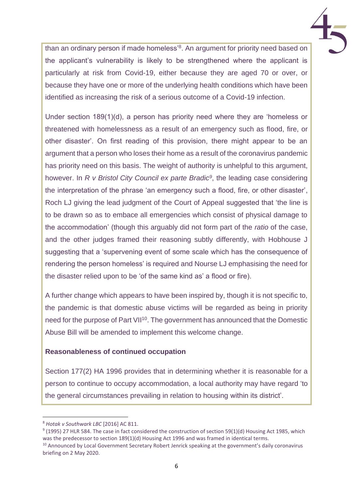than an ordinary person if made homeless'<sup>8</sup>. An argument for priority need based on the applicant's vulnerability is likely to be strengthened where the applicant is particularly at risk from Covid-19, either because they are aged 70 or over, or because they have one or more of the underlying health conditions which have been identified as increasing the risk of a serious outcome of a Covid-19 infection.

Under section 189(1)(d), a person has priority need where they are 'homeless or threatened with homelessness as a result of an emergency such as flood, fire, or other disaster'. On first reading of this provision, there might appear to be an argument that a person who loses their home as a result of the coronavirus pandemic has priority need on this basis. The weight of authority is unhelpful to this argument, however. In *R v Bristol City Council ex parte Bradic<sup>9</sup>* , the leading case considering the interpretation of the phrase 'an emergency such a flood, fire, or other disaster', Roch LJ giving the lead judgment of the Court of Appeal suggested that 'the line is to be drawn so as to embace all emergencies which consist of physical damage to the accommodation' (though this arguably did not form part of the *ratio* of the case, and the other judges framed their reasoning subtly differently, with Hobhouse J suggesting that a 'supervening event of some scale which has the consequence of rendering the person homeless' is required and Nourse LJ emphasising the need for the disaster relied upon to be 'of the same kind as' a flood or fire).

A further change which appears to have been inspired by, though it is not specific to, the pandemic is that domestic abuse victims will be regarded as being in priority need for the purpose of Part VII<sup>10</sup>. The government has announced that the Domestic Abuse Bill will be amended to implement this welcome change.

### **Reasonableness of continued occupation**

Section 177(2) HA 1996 provides that in determining whether it is reasonable for a person to continue to occupy accommodation, a local authority may have regard 'to the general circumstances prevailing in relation to housing within its district'.

 $9$  (1995) 27 HLR 584. The case in fact considered the construction of section 59(1)(d) Housing Act 1985, which was the predecessor to section 189(1)(d) Housing Act 1996 and was framed in identical terms.

<sup>8</sup> *Hotak v Southwark LBC* [2016] AC 811.

<sup>&</sup>lt;sup>10</sup> Announced by Local Government Secretary Robert Jenrick speaking at the government's daily coronavirus briefing on 2 May 2020.